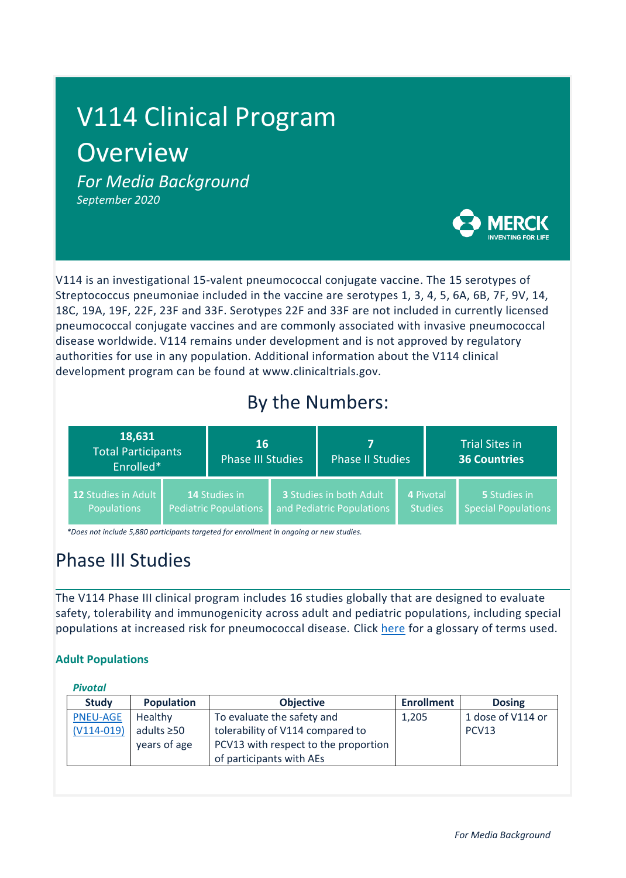# V114 Clinical Program **Overview**

*For Media Background September 2020*



V114 is an investigational 15-valent pneumococcal conjugate vaccine. The 15 serotypes of Streptococcus pneumoniae included in the vaccine are serotypes 1, 3, 4, 5, 6A, 6B, 7F, 9V, 14, 18C, 19A, 19F, 22F, 23F and 33F. Serotypes 22F and 33F are not included in currently licensed pneumococcal conjugate vaccines and are commonly associated with invasive pneumococcal disease worldwide. V114 remains under development and is not approved by regulatory authorities for use in any population. Additional information about the V114 clinical development program can be found at www.clinicaltrials.gov.

# By the Numbers:

| 18,631<br><b>Total Participants</b><br>Enrolled* |  | 16<br><b>Phase III Studies</b>                |  | <b>Phase II Studies</b>                              |  | <b>Trial Sites in</b><br><b>36 Countries</b> |                                            |
|--------------------------------------------------|--|-----------------------------------------------|--|------------------------------------------------------|--|----------------------------------------------|--------------------------------------------|
| 12 Studies in Adult<br><b>Populations</b>        |  | 14 Studies in<br><b>Pediatric Populations</b> |  | 3 Studies in both Adult<br>and Pediatric Populations |  | 4 Pivotal<br><b>Studies</b>                  | 5 Studies in<br><b>Special Populations</b> |

 *\*Does not include 5,880 participants targeted for enrollment in ongoing or new studies.*

# Phase III Studies

The V114 Phase III clinical program includes 16 studies globally that are designed to evaluate safety, tolerability and immunogenicity across adult and pediatric populations, including special populations at increased risk for pneumococcal disease. Click [here](#page-4-0) for a glossary of terms used.

## **Adult Populations**

| <b>Study</b>    | <b>Population</b> | <b>Objective</b>                     | <b>Enrollment</b> | <b>Dosing</b>     |
|-----------------|-------------------|--------------------------------------|-------------------|-------------------|
| <b>PNEU-AGE</b> | Healthy           | To evaluate the safety and           | 1,205             | 1 dose of V114 or |
| $(V114-019)$    | adults $\geq 50$  | tolerability of V114 compared to     |                   | PCV13             |
|                 | years of age      | PCV13 with respect to the proportion |                   |                   |
|                 |                   | of participants with AEs             |                   |                   |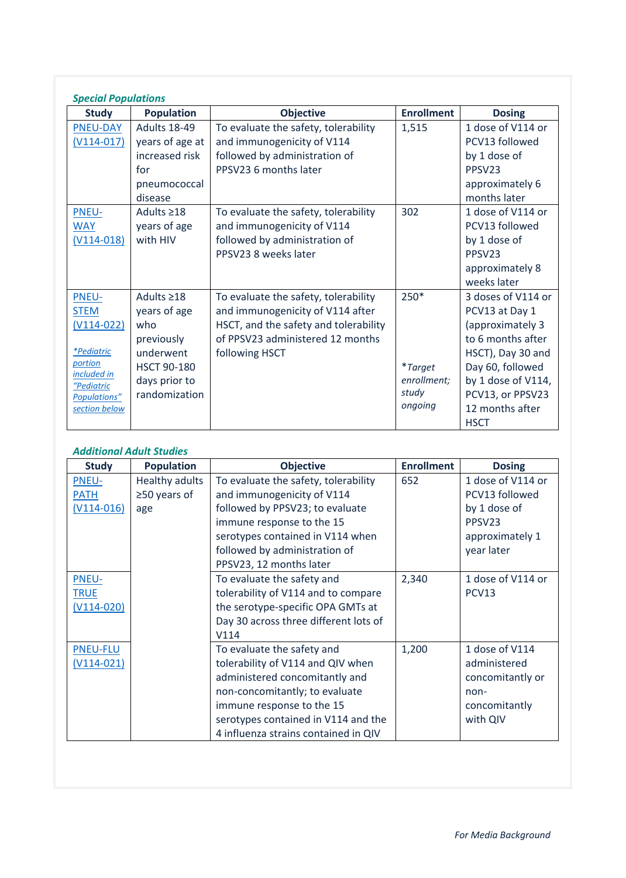| <b>Special Populations</b> |                     |                                       |                   |                    |  |
|----------------------------|---------------------|---------------------------------------|-------------------|--------------------|--|
| <b>Study</b>               | <b>Population</b>   | <b>Objective</b>                      | <b>Enrollment</b> | <b>Dosing</b>      |  |
| <b>PNEU-DAY</b>            | <b>Adults 18-49</b> | To evaluate the safety, tolerability  | 1,515             | 1 dose of V114 or  |  |
| $(V114-017)$               | years of age at     | and immunogenicity of V114            |                   | PCV13 followed     |  |
|                            | increased risk      | followed by administration of         |                   | by 1 dose of       |  |
|                            | for                 | PPSV23 6 months later                 |                   | PPSV <sub>23</sub> |  |
|                            | pneumococcal        |                                       |                   | approximately 6    |  |
|                            | disease             |                                       |                   | months later       |  |
| <b>PNEU-</b>               | Adults $\geq$ 18    | To evaluate the safety, tolerability  | 302               | 1 dose of V114 or  |  |
| <b>WAY</b>                 | years of age        | and immunogenicity of V114            |                   | PCV13 followed     |  |
| $(V114-018)$               | with HIV            | followed by administration of         |                   | by 1 dose of       |  |
|                            |                     | PPSV23 8 weeks later                  |                   | PPSV <sub>23</sub> |  |
|                            |                     |                                       |                   | approximately 8    |  |
|                            |                     |                                       |                   | weeks later        |  |
| <b>PNEU-</b>               | Adults $\geq$ 18    | To evaluate the safety, tolerability  | 250*              | 3 doses of V114 or |  |
| <b>STEM</b>                | years of age        | and immunogenicity of V114 after      |                   | PCV13 at Day 1     |  |
| $(V114-022)$               | who                 | HSCT, and the safety and tolerability |                   | (approximately 3   |  |
|                            | previously          | of PPSV23 administered 12 months      |                   | to 6 months after  |  |
| <i>*Pediatric</i>          | underwent           | following HSCT                        |                   | HSCT), Day 30 and  |  |
| portion<br>included in     | <b>HSCT 90-180</b>  |                                       | <i>*Target</i>    | Day 60, followed   |  |
| "Pediatric                 | days prior to       |                                       | enrollment;       | by 1 dose of V114, |  |
| Populations"               | randomization       |                                       | study             | PCV13, or PPSV23   |  |
| section below              |                     |                                       | ongoing           | 12 months after    |  |
|                            |                     |                                       |                   | <b>HSCT</b>        |  |

## *Additional Adult Studies*

| <b>Study</b>    | <b>Population</b>     | <b>Objective</b>                      | <b>Enrollment</b> | <b>Dosing</b>      |
|-----------------|-----------------------|---------------------------------------|-------------------|--------------------|
| <b>PNEU-</b>    | <b>Healthy adults</b> | To evaluate the safety, tolerability  | 652               | 1 dose of V114 or  |
| <b>PATH</b>     | $\geq$ 50 years of    | and immunogenicity of V114            |                   | PCV13 followed     |
| $(V114-016)$    | age                   | followed by PPSV23; to evaluate       |                   | by 1 dose of       |
|                 |                       | immune response to the 15             |                   | PPSV <sub>23</sub> |
|                 |                       | serotypes contained in V114 when      |                   | approximately 1    |
|                 |                       | followed by administration of         |                   | year later         |
|                 |                       | PPSV23, 12 months later               |                   |                    |
| PNEU-           |                       | To evaluate the safety and            | 2,340             | 1 dose of V114 or  |
| <b>TRUE</b>     |                       | tolerability of V114 and to compare   |                   | PCV <sub>13</sub>  |
| $(V114-020)$    |                       | the serotype-specific OPA GMTs at     |                   |                    |
|                 |                       | Day 30 across three different lots of |                   |                    |
|                 |                       | V114                                  |                   |                    |
| <b>PNEU-FLU</b> |                       | To evaluate the safety and            | 1,200             | 1 dose of V114     |
| (V114-021)      |                       | tolerability of V114 and QIV when     |                   | administered       |
|                 |                       | administered concomitantly and        |                   | concomitantly or   |
|                 |                       | non-concomitantly; to evaluate        |                   | non-               |
|                 |                       | immune response to the 15             |                   | concomitantly      |
|                 |                       | serotypes contained in V114 and the   |                   | with QIV           |
|                 |                       | 4 influenza strains contained in QIV  |                   |                    |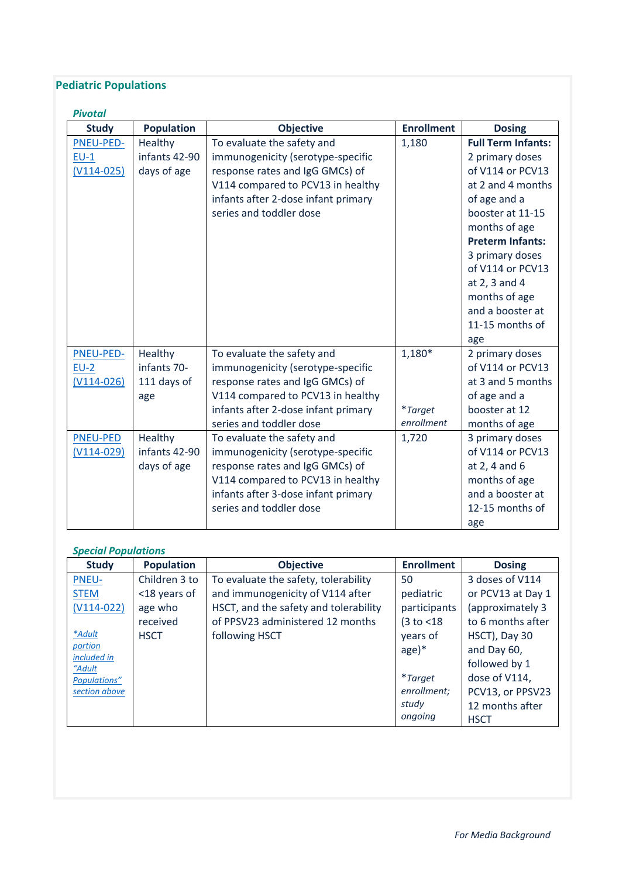## **Pediatric Populations**

| <b>Pivotal</b>                      |                                              |                                                                                                                                                                                                           |                                          |                                                                                                                                                                                                                                              |
|-------------------------------------|----------------------------------------------|-----------------------------------------------------------------------------------------------------------------------------------------------------------------------------------------------------------|------------------------------------------|----------------------------------------------------------------------------------------------------------------------------------------------------------------------------------------------------------------------------------------------|
| <b>Study</b>                        | <b>Population</b>                            | <b>Objective</b>                                                                                                                                                                                          | <b>Enrollment</b>                        | <b>Dosing</b>                                                                                                                                                                                                                                |
| PNEU-PED-<br>$EU-1$                 | Healthy<br>infants 42-90                     | To evaluate the safety and<br>immunogenicity (serotype-specific                                                                                                                                           | 1,180                                    | <b>Full Term Infants:</b><br>2 primary doses                                                                                                                                                                                                 |
| $(V114-025)$                        | days of age                                  | response rates and IgG GMCs) of<br>V114 compared to PCV13 in healthy<br>infants after 2-dose infant primary<br>series and toddler dose                                                                    |                                          | of V114 or PCV13<br>at 2 and 4 months<br>of age and a<br>booster at 11-15<br>months of age<br><b>Preterm Infants:</b><br>3 primary doses<br>of V114 or PCV13<br>at 2, 3 and 4<br>months of age<br>and a booster at<br>11-15 months of<br>age |
| PNEU-PED-<br>$EU-2$<br>$(V114-026)$ | Healthy<br>infants 70-<br>111 days of<br>age | To evaluate the safety and<br>immunogenicity (serotype-specific<br>response rates and IgG GMCs) of<br>V114 compared to PCV13 in healthy<br>infants after 2-dose infant primary<br>series and toddler dose | $1,180*$<br><i>*Target</i><br>enrollment | 2 primary doses<br>of V114 or PCV13<br>at 3 and 5 months<br>of age and a<br>booster at 12<br>months of age                                                                                                                                   |
| <b>PNEU-PED</b><br>$(V114-029)$     | Healthy<br>infants 42-90<br>days of age      | To evaluate the safety and<br>immunogenicity (serotype-specific<br>response rates and IgG GMCs) of<br>V114 compared to PCV13 in healthy<br>infants after 3-dose infant primary<br>series and toddler dose | 1,720                                    | 3 primary doses<br>of V114 or PCV13<br>at $2, 4$ and $6$<br>months of age<br>and a booster at<br>12-15 months of<br>age                                                                                                                      |

## *Special Populations*

| <b>Study</b>           | <b>Population</b> | <b>Objective</b>                      | <b>Enrollment</b> | <b>Dosing</b>     |
|------------------------|-------------------|---------------------------------------|-------------------|-------------------|
| <b>PNEU-</b>           | Children 3 to     | To evaluate the safety, tolerability  | 50                | 3 doses of V114   |
| <b>STEM</b>            | <18 years of      | and immunogenicity of V114 after      | pediatric         | or PCV13 at Day 1 |
| $(V114-022)$           | age who           | HSCT, and the safety and tolerability | participants      | (approximately 3  |
|                        | received          | of PPSV23 administered 12 months      | (3 to < 18)       | to 6 months after |
| *Adult                 | <b>HSCT</b>       | following HSCT                        | years of          | HSCT), Day 30     |
| portion<br>included in |                   |                                       | $age)*$           | and Day 60,       |
| "Adult                 |                   |                                       |                   | followed by 1     |
| Populations"           |                   |                                       | <i>*Target</i>    | dose of V114,     |
| section above          |                   |                                       | enrollment;       | PCV13, or PPSV23  |
|                        |                   |                                       | study             | 12 months after   |
|                        |                   |                                       | ongoing           | <b>HSCT</b>       |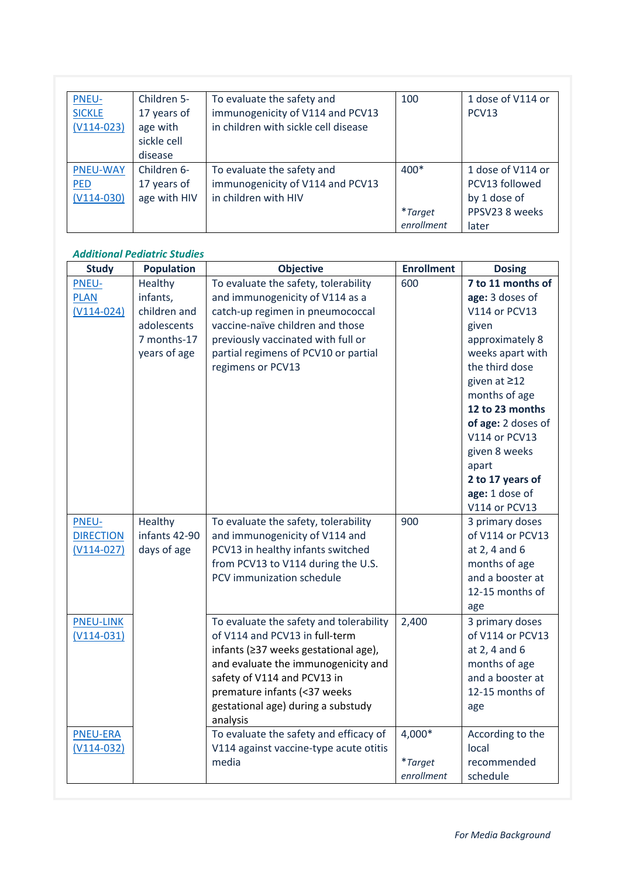| <b>PNEU-</b><br><b>SICKLE</b> | Children 5-<br>17 years of | To evaluate the safety and<br>immunogenicity of V114 and PCV13 | 100        | 1 dose of V114 or<br>PCV <sub>13</sub> |
|-------------------------------|----------------------------|----------------------------------------------------------------|------------|----------------------------------------|
| $(V114-023)$                  | age with                   | in children with sickle cell disease                           |            |                                        |
|                               | sickle cell                |                                                                |            |                                        |
|                               | disease                    |                                                                |            |                                        |
| <b>PNEU-WAY</b>               | Children 6-                | To evaluate the safety and                                     | $400*$     | 1 dose of V114 or                      |
| <b>PED</b>                    | 17 years of                | immunogenicity of V114 and PCV13                               |            | PCV13 followed                         |
| $(V114-030)$                  | age with HIV               | in children with HIV                                           |            | by 1 dose of                           |
|                               |                            |                                                                | *Target    | PPSV23 8 weeks                         |
|                               |                            |                                                                | enrollment | later                                  |

#### *Additional Pediatric Studies*

| <b>Study</b>     | <b>Population</b> | <b>Objective</b>                                                          | <b>Enrollment</b> | <b>Dosing</b>                       |
|------------------|-------------------|---------------------------------------------------------------------------|-------------------|-------------------------------------|
| <b>PNEU-</b>     | Healthy           | To evaluate the safety, tolerability                                      | 600               | 7 to 11 months of                   |
| <b>PLAN</b>      | infants,          | and immunogenicity of V114 as a                                           |                   | age: 3 doses of                     |
| $(V114-024)$     | children and      | catch-up regimen in pneumococcal                                          |                   | V114 or PCV13                       |
|                  | adolescents       | vaccine-naïve children and those                                          |                   | given                               |
|                  | 7 months-17       | previously vaccinated with full or                                        |                   | approximately 8                     |
|                  | years of age      | partial regimens of PCV10 or partial                                      |                   | weeks apart with                    |
|                  |                   | regimens or PCV13                                                         |                   | the third dose                      |
|                  |                   |                                                                           |                   | given at ≥12                        |
|                  |                   |                                                                           |                   | months of age                       |
|                  |                   |                                                                           |                   | 12 to 23 months                     |
|                  |                   |                                                                           |                   | of age: 2 doses of                  |
|                  |                   |                                                                           |                   | V114 or PCV13                       |
|                  |                   |                                                                           |                   | given 8 weeks                       |
|                  |                   |                                                                           |                   | apart                               |
|                  |                   |                                                                           |                   | 2 to 17 years of                    |
|                  |                   |                                                                           |                   | age: 1 dose of                      |
|                  |                   |                                                                           |                   | V114 or PCV13                       |
| <b>PNEU-</b>     | Healthy           | To evaluate the safety, tolerability                                      | 900               | 3 primary doses                     |
| <b>DIRECTION</b> | infants 42-90     | and immunogenicity of V114 and                                            |                   | of V114 or PCV13                    |
| $(V114-027)$     | days of age       | PCV13 in healthy infants switched                                         |                   | at 2, 4 and 6                       |
|                  |                   | from PCV13 to V114 during the U.S.<br>PCV immunization schedule           |                   | months of age<br>and a booster at   |
|                  |                   |                                                                           |                   | 12-15 months of                     |
|                  |                   |                                                                           |                   |                                     |
|                  |                   |                                                                           |                   | age                                 |
| <b>PNEU-LINK</b> |                   | To evaluate the safety and tolerability<br>of V114 and PCV13 in full-term | 2,400             | 3 primary doses<br>of V114 or PCV13 |
| $(V114-031)$     |                   | infants (≥37 weeks gestational age),                                      |                   | at 2, 4 and 6                       |
|                  |                   | and evaluate the immunogenicity and                                       |                   | months of age                       |
|                  |                   | safety of V114 and PCV13 in                                               |                   | and a booster at                    |
|                  |                   | premature infants (<37 weeks                                              |                   | 12-15 months of                     |
|                  |                   | gestational age) during a substudy                                        |                   | age                                 |
|                  |                   | analysis                                                                  |                   |                                     |
| <b>PNEU-ERA</b>  |                   | To evaluate the safety and efficacy of                                    | 4,000*            | According to the                    |
| $(V114-032)$     |                   | V114 against vaccine-type acute otitis                                    |                   | local                               |
|                  |                   | media                                                                     | <i>*Target</i>    | recommended                         |
|                  |                   |                                                                           | enrollment        | schedule                            |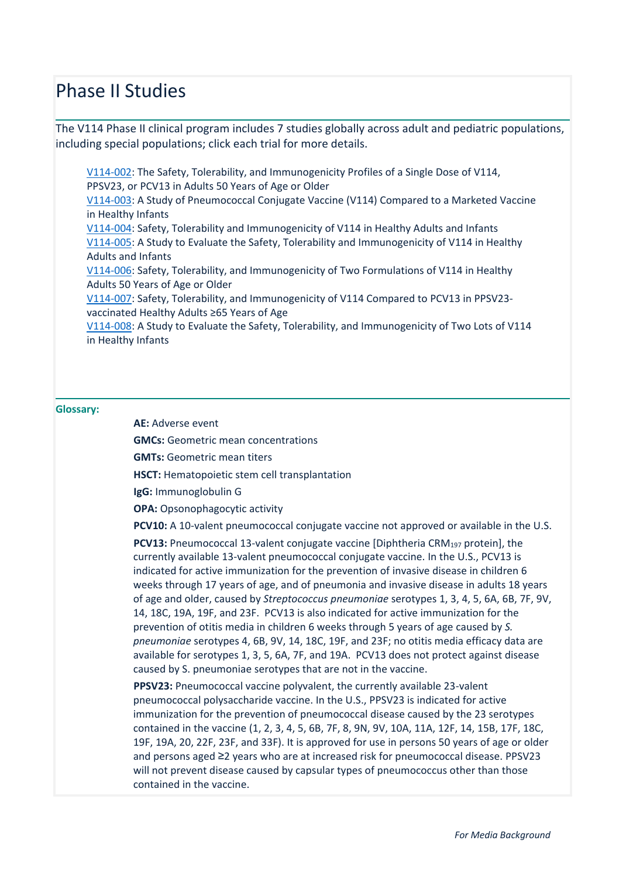# Phase II Studies

The V114 Phase II clinical program includes 7 studies globally across adult and pediatric populations, including special populations; click each trial for more details.

[V114-002:](https://clinicaltrials.gov/ct2/show/NCT01513551?term=V114-002&draw=2&rank=1) The Safety, Tolerability, and Immunogenicity Profiles of a Single Dose of V114, PPSV23, or PCV13 in Adults 50 Years of Age or Older [V114-003:](https://clinicaltrials.gov/ct2/show/NCT01215188?term=V114-003&draw=2&rank=1) A Study of Pneumococcal Conjugate Vaccine (V114) Compared to a Marketed Vaccine in Healthy Infants [V114-004:](https://clinicaltrials.gov/ct2/show/NCT02037984?term=V114-004&draw=2&rank=1) Safety, Tolerability and Immunogenicity of V114 in Healthy Adults and Infants [V114-005:](https://clinicaltrials.gov/ct2/show/NCT02531373?term=V114-005&draw=2&rank=1) A Study to Evaluate the Safety, Tolerability and Immunogenicity of V114 in Healthy Adults and Infants [V114-006:](https://clinicaltrials.gov/ct2/show/NCT02547649?term=V114-006&draw=2&rank=1) Safety, Tolerability, and Immunogenicity of Two Formulations of V114 in Healthy Adults 50 Years of Age or Older [V114-007:](https://clinicaltrials.gov/ct2/show/NCT02573181?term=V114-007&draw=2&rank=1) Safety, Tolerability, and Immunogenicity of V114 Compared to PCV13 in PPSV23 vaccinated Healthy Adults ≥65 Years of Age [V114-008:](https://clinicaltrials.gov/ct2/show/NCT02987972?term=V114-008&draw=2&rank=1) A Study to Evaluate the Safety, Tolerability, and Immunogenicity of Two Lots of V114 in Healthy Infants

#### <span id="page-4-0"></span>**Glossary:**

**AE:** Adverse event

**GMCs:** Geometric mean concentrations

**GMTs:** Geometric mean titers

**HSCT:** Hematopoietic stem cell transplantation

**IgG:** Immunoglobulin G

**OPA:** Opsonophagocytic activity

**PCV10:** A 10-valent pneumococcal conjugate vaccine not approved or available in the U.S.

**PCV13:** Pneumococcal 13-valent conjugate vaccine [Diphtheria CRM<sup>197</sup> protein], the currently available 13-valent pneumococcal conjugate vaccine. In the U.S., PCV13 is indicated for active immunization for the prevention of invasive disease in children 6 weeks through 17 years of age, and of pneumonia and invasive disease in adults 18 years of age and older, caused by *Streptococcus pneumoniae* serotypes 1, 3, 4, 5, 6A, 6B, 7F, 9V, 14, 18C, 19A, 19F, and 23F. PCV13 is also indicated for active immunization for the prevention of otitis media in children 6 weeks through 5 years of age caused by *S. pneumoniae* serotypes 4, 6B, 9V, 14, 18C, 19F, and 23F; no otitis media efficacy data are available for serotypes 1, 3, 5, 6A, 7F, and 19A. PCV13 does not protect against disease caused by S. pneumoniae serotypes that are not in the vaccine.

**PPSV23:** Pneumococcal vaccine polyvalent, the currently available 23-valent pneumococcal polysaccharide vaccine. In the U.S., PPSV23 is indicated for active immunization for the prevention of pneumococcal disease caused by the 23 serotypes contained in the vaccine (1, 2, 3, 4, 5, 6B, 7F, 8, 9N, 9V, 10A, 11A, 12F, 14, 15B, 17F, 18C, 19F, 19A, 20, 22F, 23F, and 33F). It is approved for use in persons 50 years of age or older and persons aged ≥2 years who are at increased risk for pneumococcal disease. PPSV23 will not prevent disease caused by capsular types of pneumococcus other than those contained in the vaccine.